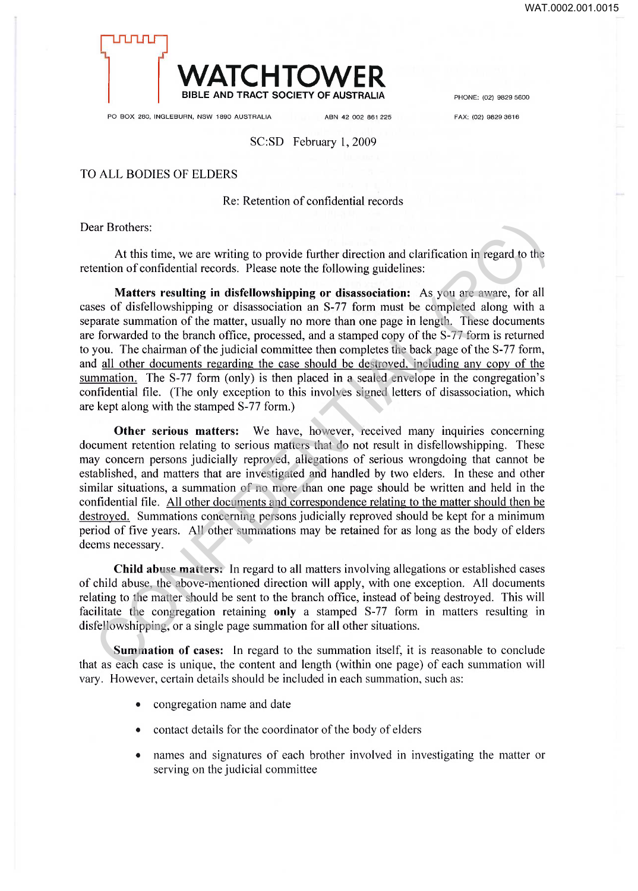

PO BOX 280, INGLEBURN, NSW 1890 AUSTRALIA ABN 42 002 861 225 FAX: (02) 9829 3616

# SC:SD February 1,2009

#### TO ALL BODIES OF ELDERS

### Re: Retention of confidential records

Dear Brothers:

At this time, we are writing to provide further direction and clarification in regard to the retention of confidential records. Please note the following guidelines:

**Matters resulting in disfellowshipping or disassociation:** As you are aware, for all cases of disfellowshipping or disassociation an S-77 form must be completed along with a separate summation of the matter, usually no more than one page in length. These documents are forwarded to the branch office, processed, and a stamped copy of the S-77 form is returned to you. The chairman of the judicial committee then completes the back page of the S-77 form, and all other documents regarding the case should be destroyed, including any copy of the summation. The S-77 form (only) is then placed in a sealed envelope in the congregation's confidential file. (The only exception to this involves signed letters of disassociation, which are kept along with the stamped S-77 form.) ar Brothers:<br>At this time, we are writing to provide further direction and clarification in regard to the<br>ention of confidential records. Please note the following guiddlines:<br>Secondination of the model of the sylon are a

**Other serious matters:** We have, however, received many inquiries concerning document retention relating to serious matters that do not result in disfellowshipping. These may concern persons judicially reproved, allegations of serious wrongdoing that cannot be established, and matters that are investigated and handled by two elders. In these and other similar situations, a summation of no more than one page should be written and held in the confidential file. All other documents and correspondence relating to the matter should then be destroyed. Summations concerning persons judicially reproved should be kept for a minimum period of five years. All other summations may be retained for as long as the body of elders deems necessary.

**Child abuse matters:** In regard to all matters involving allegations or established cases of child abuse, the above-mentioned direction will apply, with one exception. All documents relating to the matter should be sent to the branch office, instead of being destroyed. This will facilitate the congregation retaining **only** a stamped S-77 form in matters resulting in disfellowshipping, or a single page summation for all other situations.

**Summation of cases:** In regard to the summation itself, it is reasonable to conclude that as each case is unique, the content and length (within one page) of each summation will vary. However, certain details should be included in each summation, such as:

- congregation name and date
- contact details for the coordinator of the body of elders
- names and signatures of each brother involved in investigating the matter or serving on the judicial committee